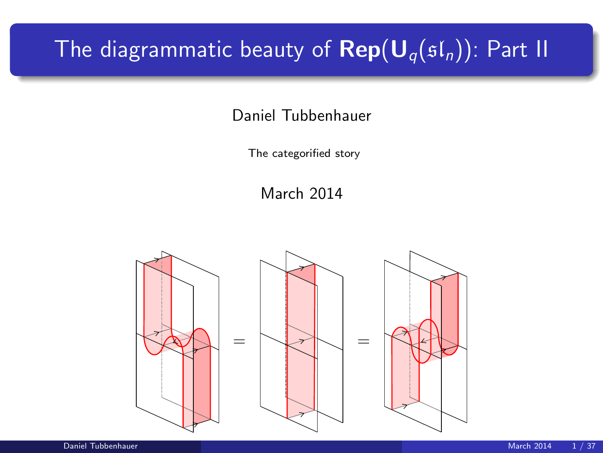# The diagrammatic beauty of  $\mathbf{Rep}(\mathbf{U}_q(\mathfrak{sl}_n))$ : Part II

Daniel Tubbenhauer

The categorified story

March 2014

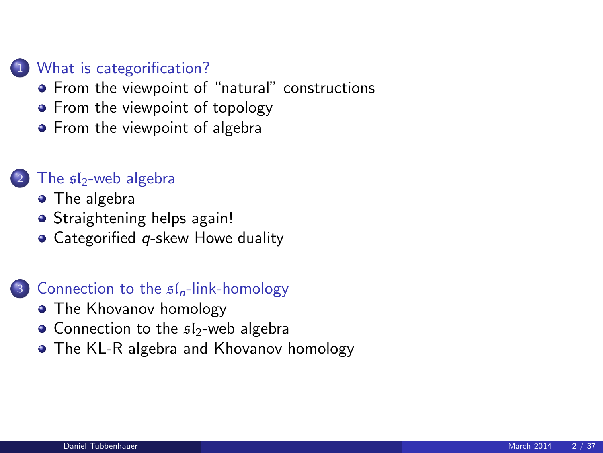#### 1 [What is categorification?](#page-2-0)

- **•** [From the viewpoint of "natural" constructions](#page-2-0)
- [From the viewpoint of topology](#page-5-0)
- [From the viewpoint of algebra](#page-7-0)

#### The  $$I_2$ [-web algebra](#page-9-0)

- [The algebra](#page-9-0)
- **•** [Straightening helps again!](#page-17-0)
- $\bullet$  Categorified *q*[-skew Howe duality](#page-20-0)

#### 3 [Connection to the](#page-25-0)  $sI_n$ -link-homology

- [The Khovanov homology](#page-25-0)
- [Connection to the](#page-27-0)  $sI_2$ -web algebra
- [The KL-R algebra and Khovanov homology](#page-30-0)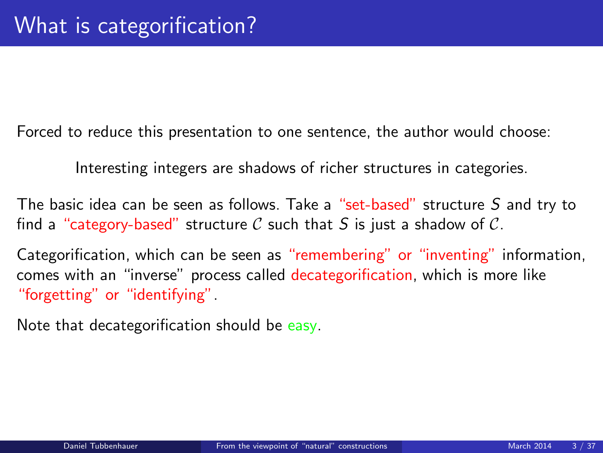Forced to reduce this presentation to one sentence, the author would choose:

Interesting integers are shadows of richer structures in categories.

The basic idea can be seen as follows. Take a "set-based" structure S and try to find a "category-based" structure C such that S is just a shadow of C.

Categorification, which can be seen as "remembering" or "inventing" information, comes with an "inverse" process called decategorification, which is more like "forgetting" or "identifying".

<span id="page-2-0"></span>Note that decategorification should be easy.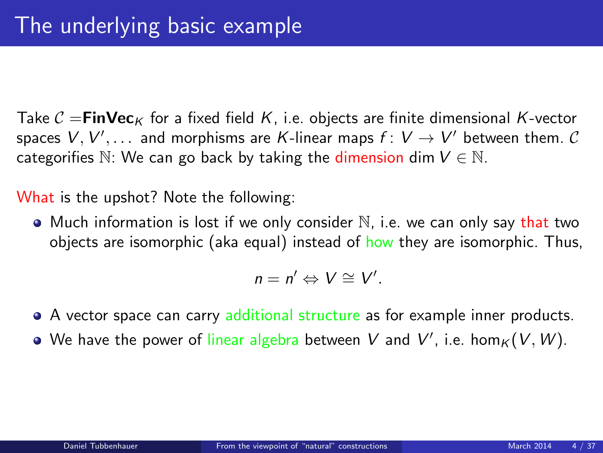Take  $C = \text{FinVec}_K$  for a fixed field K, i.e. objects are finite dimensional K-vector spaces  $V,V',\ldots$  and morphisms are  $K$ -linear maps  $f\colon V\to V'$  between them.  $\mathcal C$ categorifies  $\mathbb{N}$ : We can go back by taking the dimension dim  $V \in \mathbb{N}$ .

What is the upshot? Note the following:

 $\bullet$  Much information is lost if we only consider  $\mathbb N$ , i.e. we can only say that two objects are isomorphic (aka equal) instead of how they are isomorphic. Thus,

$$
n=n'\Leftrightarrow V\cong V'.
$$

- A vector space can carry additional structure as for example inner products.
- We have the power of linear algebra between  $V$  and  $V'$ , i.e.  $\hom_K(V,W)$ .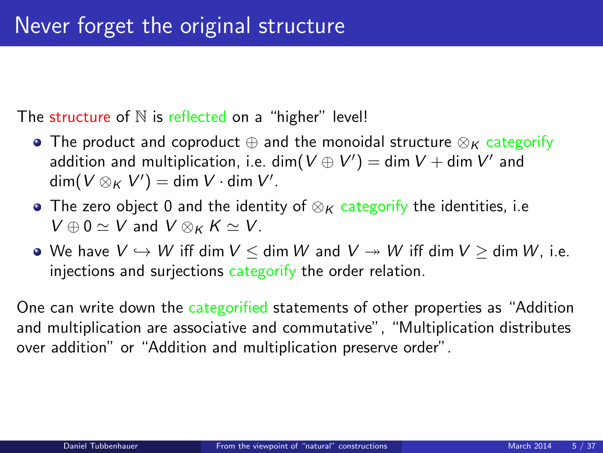The structure of  $N$  is reflected on a "higher" level!

- The product and coproduct  $\oplus$  and the monoidal structure  $\otimes_K$  categorify addition and multiplication, i.e.  $\dim(V\oplus V')=\dim V+\dim V'$  and  $\dim(V\otimes_K V')=\dim V\cdot \dim V'.$
- The zero object 0 and the identity of  $\otimes_K$  categorify the identities, i.e  $V \oplus 0 \simeq V$  and  $V \otimes_K K \simeq V$ .
- We have  $V \hookrightarrow W$  iff dim  $V \leq$  dim W and  $V \twoheadrightarrow W$  iff dim  $V \geq$  dim W, i.e. injections and surjections categorify the order relation.

One can write down the categorified statements of other properties as "Addition and multiplication are associative and commutative", "Multiplication distributes over addition" or "Addition and multiplication preserve order".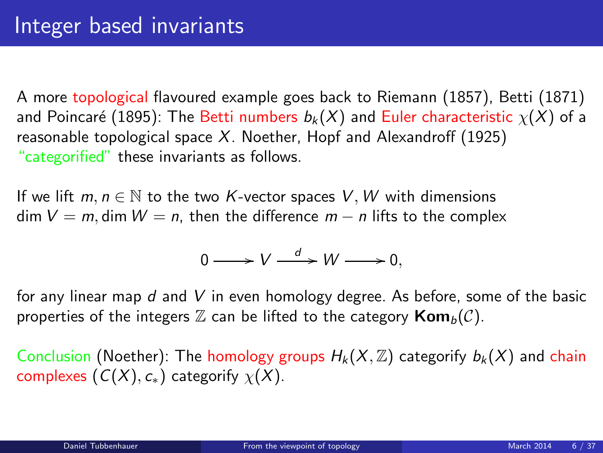A more topological flavoured example goes back to Riemann (1857), Betti (1871) and Poincaré (1895): The Betti numbers  $b_k(X)$  and Euler characteristic  $\chi(X)$  of a reasonable topological space  $X$ . Noether, Hopf and Alexandroff (1925) "categorified" these invariants as follows.

If we lift  $m, n \in \mathbb{N}$  to the two K-vector spaces V, W with dimensions dim  $V = m$ , dim  $W = n$ , then the difference  $m - n$  lifts to the complex

<span id="page-5-0"></span>
$$
0 \longrightarrow V \stackrel{d}{\longrightarrow} W \longrightarrow 0,
$$

for any linear map d and V in even homology degree. As before, some of the basic properties of the integers  $\mathbb Z$  can be lifted to the category  $\text{Kom}_b(\mathcal{C})$ .

Conclusion (Noether): The homology groups  $H_k(X,\mathbb{Z})$  categorify  $b_k(X)$  and chain complexes  $(C(X), c_*)$  categorify  $\chi(X)$ .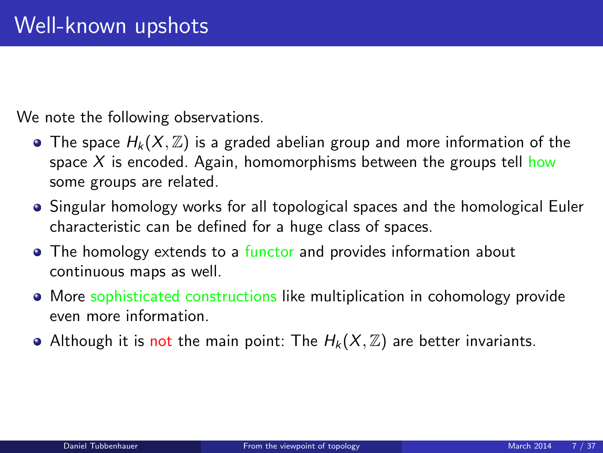We note the following observations.

- The space  $H_k(X,\mathbb{Z})$  is a graded abelian group and more information of the space  $X$  is encoded. Again, homomorphisms between the groups tell how some groups are related.
- Singular homology works for all topological spaces and the homological Euler characteristic can be defined for a huge class of spaces.
- The homology extends to a functor and provides information about continuous maps as well.
- More sophisticated constructions like multiplication in cohomology provide even more information.
- Although it is not the main point: The  $H_k(X, \mathbb{Z})$  are better invariants.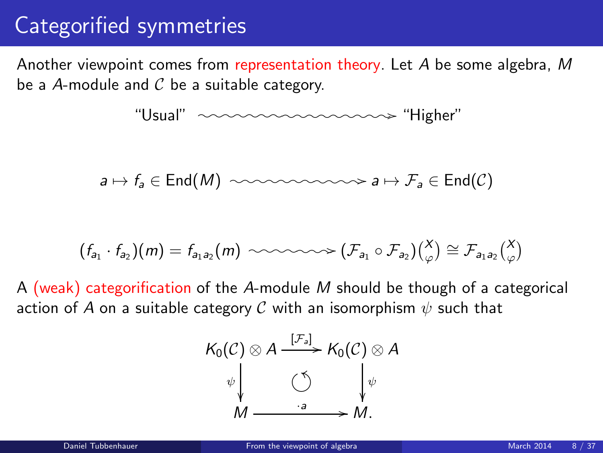## Categorified symmetries

Another viewpoint comes from representation theory. Let A be some algebra, M be a A-module and  $C$  be a suitable category.

$$
\text{``Usual''} \textit{~~} \textit{~~} \textit{~~} \textit{~~} \textit{~~} \textit{~~} \textit{~~} \textit{~~} \textit{~~} \textit{~~} \textit{~~} \textit{~~} \textit{~~} \textit{~~} \textit{~~} \textit{~~} \textit{~~} \textit{~~} \textit{~~} \textit{~~} \textit{~~} \textit{~~} \textit{~~} \textit{~~} \textit{~~} \textit{~~} \textit{~~} \textit{~~} \textit{~~} \textit{~~} \textit{~~} \textit{~~} \textit{~~} \textit{~~} \textit{~~} \textit{~~} \textit{~~} \textit{~~} \textit{~~} \textit{~~} \textit{~~} \textit{~~} \textit{~~} \textit{~~} \textit{~~} \textit{~~} \textit{~~} \textit{~~} \textit{~~} \textit{~~} \textit{~~} \textit{~~} \textit{~~} \textit{~~} \textit{~~} \textit{~~} \textit{~~} \textit{~~} \textit{~~} \textit{~~} \textit{~~} \textit{~~} \textit{~~} \textit{~~} \textit{~~} \textit{~~} \textit{~~} \textit{~~} \textit{~~} \textit{~~} \textit{~~} \textit{~~} \textit{~~} \textit{~~} \textit{~~} \textit{~~} \textit{~~} \textit{~~} \textit{~~} \textit{~~} \textit{~~} \textit{~~} \textit{~~} \textit{~~} \textit{~~} \textit{~~} \textit{~~} \textit{~~} \textit{~~} \textit{~~} \textit{~~} \textit{~~} \textit{~~} \textit{~~} \textit{~~} \textit{~~} \textit{~~} \textit{~~} \textit{~~} \textit{~~} \textit{~~} \textit{~~} \textit{~~} \textit{~~} \textit{~~} \textit{~~} \textit{~~} \textit{~~} \textit{~~} \textit{~~} \textit{~~} \textit{~~} \textit{~~} \textit{~~} \textit{~~} \textit{~~} \textit{~~} \textit{~~} \textit{~~} \textit{~~} \textit{~~} \textit{~~} \textit{~~} \textit{~~} \textit{~~} \text
$$

$$
a \mapsto f_a \in \text{End}(M) \ \ \text{isomorphism} \ a \mapsto \mathcal{F}_a \in \text{End}(\mathcal{C})
$$

$$
(f_{a_1} \cdot f_{a_2})(m) = f_{a_1 a_2}(m) \sim \sim \sim \sim \sim (\mathcal{F}_{a_1} \circ \mathcal{F}_{a_2})(\begin{matrix} X \\ \varphi \end{matrix}) \cong \mathcal{F}_{a_1 a_2} \begin{pmatrix} X \\ \varphi \end{pmatrix}
$$

A (weak) categorification of the A-module M should be though of a categorical action of A on a suitable category C with an isomorphism  $\psi$  such that

<span id="page-7-0"></span>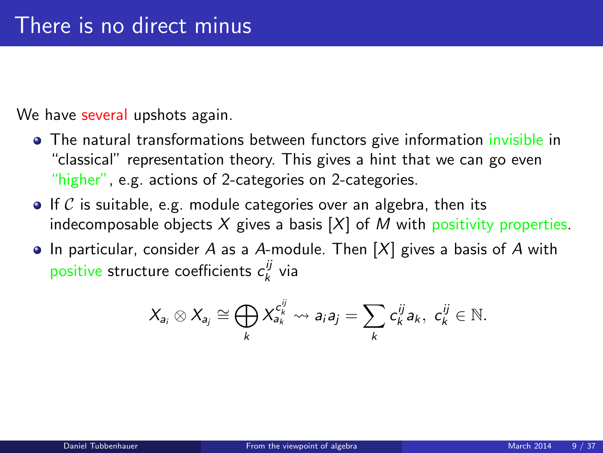We have several upshots again.

- The natural transformations between functors give information invisible in "classical" representation theory. This gives a hint that we can go even "higher", e.g. actions of 2-categories on 2-categories.
- $\bullet$  If C is suitable, e.g. module categories over an algebra, then its indecomposable objects  $X$  gives a basis  $[X]$  of M with positivity properties.
- In particular, consider A as a A-module. Then  $[X]$  gives a basis of A with positive structure coefficients  $c_k^{ij}$  via

$$
X_{a_i} \otimes X_{a_j} \cong \bigoplus_k X_{a_k}^{c_k^{ij}} \rightsquigarrow a_i a_j = \sum_k c_k^{ij} a_k, \ c_k^{ij} \in \mathbb{N}.
$$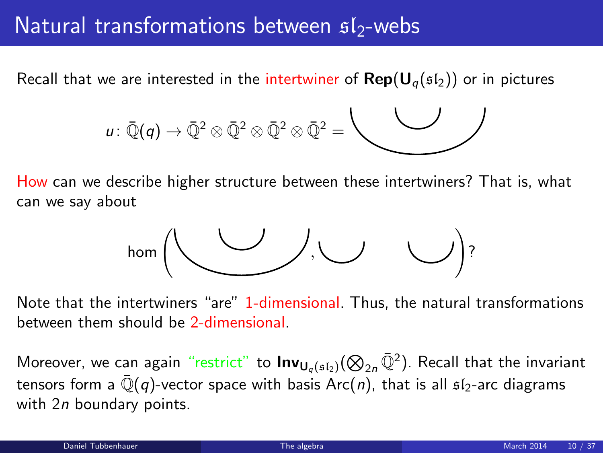### Natural transformations between  $s1$ -webs

Recall that we are interested in the intertwiner of  $\mathbf{Rep}(\mathbf{U}_q(\mathfrak{sl}_2))$  or in pictures

$$
u\colon \bar{\mathbb{Q}}(q)\to \bar{\mathbb{Q}}^2\otimes \bar{\mathbb{Q}}^2\otimes \bar{\mathbb{Q}}^2\otimes \bar{\mathbb{Q}}^2=\overbrace{\phantom{\mathbb{Q}}\qquad \qquad \qquad }
$$

How can we describe higher structure between these intertwiners? That is, what can we say about

<span id="page-9-0"></span>

Note that the intertwiners "are" 1-dimensional. Thus, the natural transformations between them should be 2-dimensional.

Moreover, we can again "restrict" to  $\mathsf{Inv}_{\mathsf{U}_q(\mathfrak{sl}_2)}(\bigotimes_{2n}\bar{\mathbb{Q}}^2)$ . Recall that the invariant tensors form a  $\overline{\mathbb{Q}}(q)$ -vector space with basis Arc(n), that is all  $sI_2$ -arc diagrams with 2n boundary points.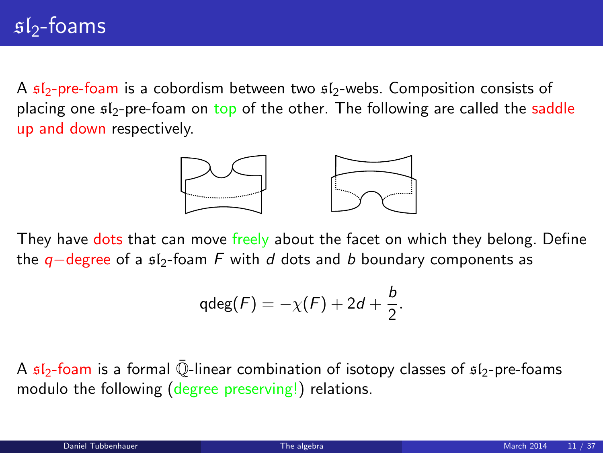A  $sI_2$ -pre-foam is a cobordism between two  $sI_2$ -webs. Composition consists of placing one  $f_2$ -pre-foam on top of the other. The following are called the saddle up and down respectively.



They have dots that can move freely about the facet on which they belong. Define the  $q$ −degree of a  $f_2$ -foam F with d dots and b boundary components as

$$
\mathrm{qdeg}(F)=-\chi(F)+2d+\frac{b}{2}.
$$

A  $sI_2$ -foam is a formal  $\overline{Q}$ -linear combination of isotopy classes of  $sI_2$ -pre-foams modulo the following (degree preserving!) relations.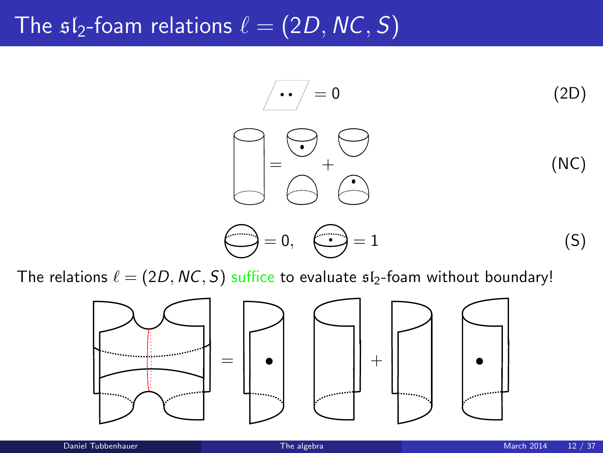# The  $sI_2$ -foam relations  $\ell = (2D, NC, S)$

$$
\begin{array}{ccc}\n\overline{\phantom{0}} & \overline{\phantom{0}} & \overline{\phantom{0}} & \overline{\phantom{0}} \\
\overline{\phantom{0}} & \overline{\phantom{0}} & \overline{\phantom{0}} & \overline{\phantom{0}} \\
\overline{\phantom{0}} & \overline{\phantom{0}} & \overline{\phantom{0}} & \overline{\phantom{0}} \\
\overline{\phantom{0}} & \overline{\phantom{0}} & \overline{\phantom{0}} & \overline{\phantom{0}} \\
\overline{\phantom{0}} & \overline{\phantom{0}} & \overline{\phantom{0}} & \overline{\phantom{0}} \\
\overline{\phantom{0}} & \overline{\phantom{0}} & \overline{\phantom{0}} & \overline{\phantom{0}} \\
\overline{\phantom{0}} & \overline{\phantom{0}} & \overline{\phantom{0}} & \overline{\phantom{0}} & \overline{\phantom{0}} \\
\overline{\phantom{0}} & \overline{\phantom{0}} & \overline{\phantom{0}} & \overline{\phantom{0}} & \overline{\phantom{0}} \\
\overline{\phantom{0}} & \overline{\phantom{0}} & \overline{\phantom{0}} & \overline{\phantom{0}} & \overline{\phantom{0}} & \overline{\phantom{0}} \\
\overline{\phantom{0}} & \overline{\phantom{0}} & \overline{\phantom{0}} & \overline{\phantom{0}} & \overline{\phantom{0}} & \overline{\phantom{0}} \\
\overline{\phantom{0}} & \overline{\phantom{0}} & \overline{\phantom{0}} & \overline{\phantom{0}} & \overline{\phantom{0}} & \overline{\phantom{0}} \\
\overline{\phantom{0}} & \overline{\phantom{0}} & \overline{\phantom{0}} & \overline{\phantom{0}} & \overline{\phantom{0}} & \overline{\phantom{0}} & \overline{\phantom{0}} & \overline{\phantom{0}} \\
\overline{\phantom{0}} & \overline{\phantom{0}} & \overline{\phantom{0}} & \overline{\phantom{0}} & \overline{\phantom{0}} & \overline{\phantom{0}} & \overline{\phantom{0}} & \overline{\phantom{0}} & \overline{\phantom{0}} & \overline{\phantom{0}} & \overline{\phantom{0}} & \overline{\phantom{0}} & \overline{\phantom{0}} & \overline{\phantom{0}} & \overline{\phantom{0}} & \over
$$

The relations  $\ell = (2D, NC, S)$  suffice to evaluate  $sI_2$ -foam without boundary!

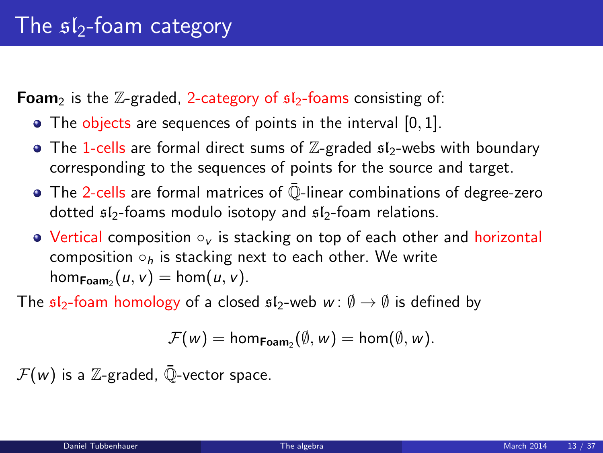**Foam**<sub>2</sub> is the  $\mathbb{Z}$ -graded, 2-category of  $s1$ <sub>2</sub>-foams consisting of:

- The objects are sequences of points in the interval [0, 1].
- The 1-cells are formal direct sums of  $\mathbb{Z}$ -graded  $\mathfrak{sl}_2$ -webs with boundary corresponding to the sequences of points for the source and target.
- $\bullet$  The 2-cells are formal matrices of  $\overline{\mathbb{Q}}$ -linear combinations of degree-zero dotted  $sI_2$ -foams modulo isotopy and  $sI_2$ -foam relations.
- Vertical composition ○<sub>v</sub> is stacking on top of each other and horizontal composition  $\circ_h$  is stacking next to each other. We write hom $_{\mathsf{Foam}_2}(u, v) = \mathsf{hom}(u, v)$ .

The  $\mathfrak{sl}_2$ -foam homology of a closed  $\mathfrak{sl}_2$ -web  $w : \emptyset \to \emptyset$  is defined by

$$
\mathcal{F}(w) = \text{hom}_{\text{Foam}_2}(\emptyset, w) = \text{hom}(\emptyset, w).
$$

 $\mathcal{F}(w)$  is a Z-graded,  $\overline{\mathbb{Q}}$ -vector space.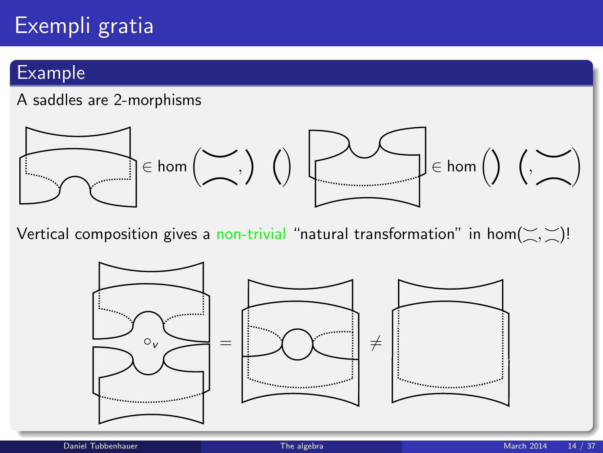# Exempli gratia

### Example

#### A saddles are 2-morphisms



Vertical composition gives a non-trivial "natural transformation" in hom $(\leq, \leq)!$ 

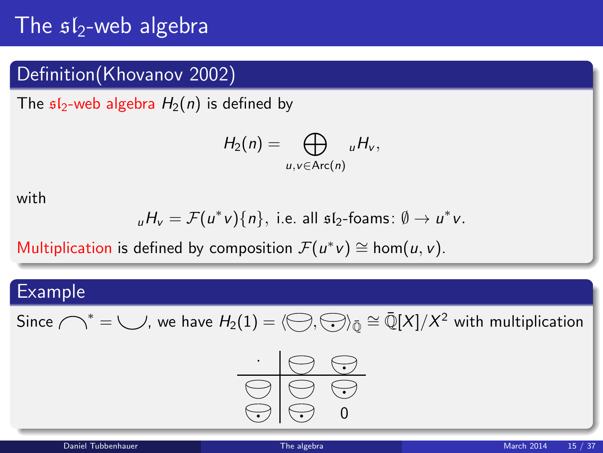## The  $s1_2$ -web algebra

### Definition(Khovanov 2002)

The  $sI_2$ -web algebra  $H_2(n)$  is defined by

$$
H_2(n)=\bigoplus_{u,v\in\text{Arc}(n)} {}_uH_v,
$$

with

$$
_{u}H_{v}=\mathcal{F}(u^{*}v)\{n\}, \text{ i.e. all sf}_{2}\text{-foams: } \emptyset \to u^{*}v.
$$

Multiplication is defined by composition  $\mathcal{F}(u^*v) \cong \text{hom}(u, v)$ .

#### Example

Since  $\bigcap^*=\bigcup$ , we have  $H_2(1)=\langle\bigoplus,\bigodot\rangle_{\bar{\mathbb{Q}}}\cong\bar{\mathbb{Q}}[X]/X^2$  with multiplication

$$
\begin{array}{c|c}\n\cdot & \circ & \circ \\
\hline\n\circ & \circ & \circ \\
\hline\n\circ & \circ & \circ\n\end{array}
$$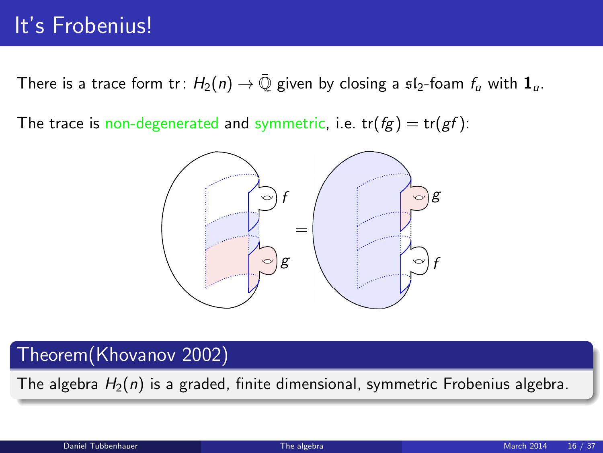## It's Frobenius!

There is a trace form tr:  $H_2(n) \to \overline{\mathbb{Q}}$  given by closing a  $\mathfrak{sl}_2$ -foam  $f_u$  with  $\mathbf{1}_u$ .

The trace is non-degenerated and symmetric, i.e.  $tr(fg) = tr(gf)$ :



### Theorem(Khovanov 2002)

The algebra  $H_2(n)$  is a graded, finite dimensional, symmetric Frobenius algebra.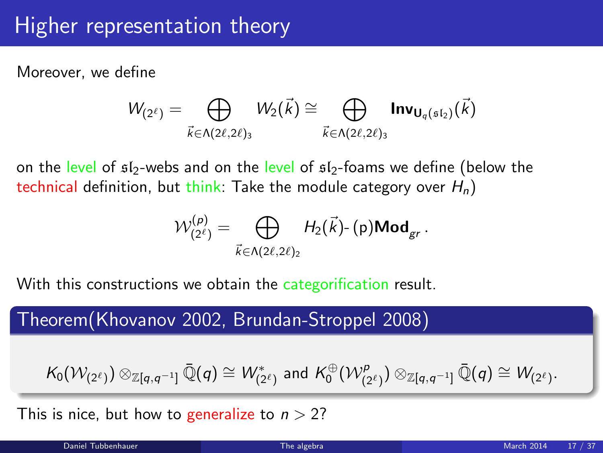## Higher representation theory

Moreover, we define

$$
W_{(2^{\ell})} = \bigoplus_{\vec{k} \in \Lambda(2\ell, 2\ell)_3} W_2(\vec{k}) \cong \bigoplus_{\vec{k} \in \Lambda(2\ell, 2\ell)_3} \text{Inv}_{\mathbf{U}_q(\mathfrak{sl}_2)}(\vec{k})
$$

on the level of  $s_1/2$ -webs and on the level of  $s_1/2$ -foams we define (below the technical definition, but think: Take the module category over  $H_n$ )

$$
\mathcal{W}^{(p)}_{(2^{\ell})} = \bigoplus_{\vec{k} \in \Lambda(2\ell, 2\ell)_2} H_2(\vec{k}) \cdot (p) \text{Mod}_{gr}.
$$

With this constructions we obtain the categorification result.

Theorem(Khovanov 2002, Brundan-Stroppel 2008)

$$
\mathcal{K}_0(\mathcal{W}_{(2^\ell)}) \otimes_{\mathbb{Z} [q,q^{-1}]}\bar{\mathbb{Q}}(q) \cong \mathcal{W}^*_{(2^\ell)} \text{ and } \mathcal{K}_0^{\oplus}(\mathcal{W}^p_{(2^\ell)}) \otimes_{\mathbb{Z} [q,q^{-1}]}\bar{\mathbb{Q}}(q) \cong \mathcal{W}_{(2^\ell)}.
$$

This is nice, but how to generalize to  $n > 2$ ?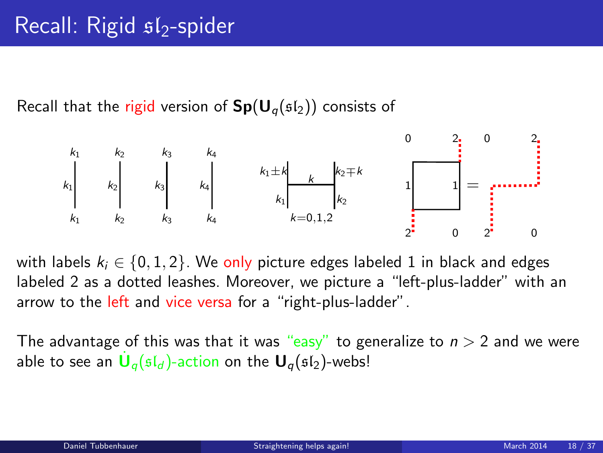Recall that the rigid version of  $Sp(U_q(\mathfrak{sl}_2))$  consists of



with labels  $k_i \in \{0, 1, 2\}$ . We only picture edges labeled 1 in black and edges labeled 2 as a dotted leashes. Moreover, we picture a "left-plus-ladder" with an arrow to the left and vice versa for a "right-plus-ladder".

<span id="page-17-0"></span>The advantage of this was that it was "easy" to generalize to  $n > 2$  and we were able to see an  $\dot{\mathsf{U}}_q(\mathfrak{sl}_d)$ -action on the  $\mathsf{U}_q(\mathfrak{sl}_2)$ -webs!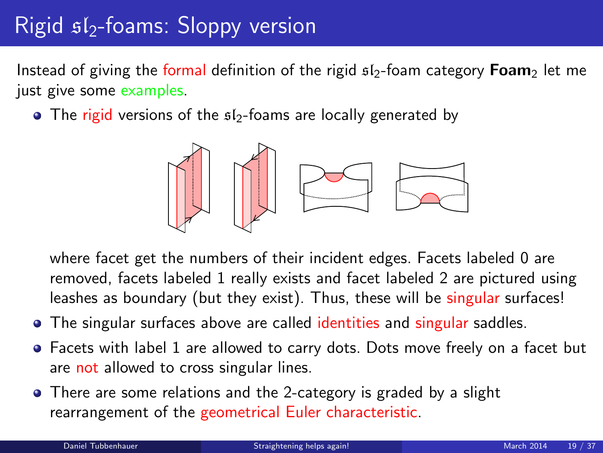# $Right$   $s1$ -foams: Sloppy version

Instead of giving the formal definition of the rigid  $sI_2$ -foam category **Foam**<sub>2</sub> let me just give some examples.

 $\bullet$  The rigid versions of the  $512$ -foams are locally generated by



where facet get the numbers of their incident edges. Facets labeled 0 are removed, facets labeled 1 really exists and facet labeled 2 are pictured using leashes as boundary (but they exist). Thus, these will be singular surfaces!

- The singular surfaces above are called identities and singular saddles.
- Facets with label 1 are allowed to carry dots. Dots move freely on a facet but are not allowed to cross singular lines.
- There are some relations and the 2-category is graded by a slight rearrangement of the geometrical Euler characteristic.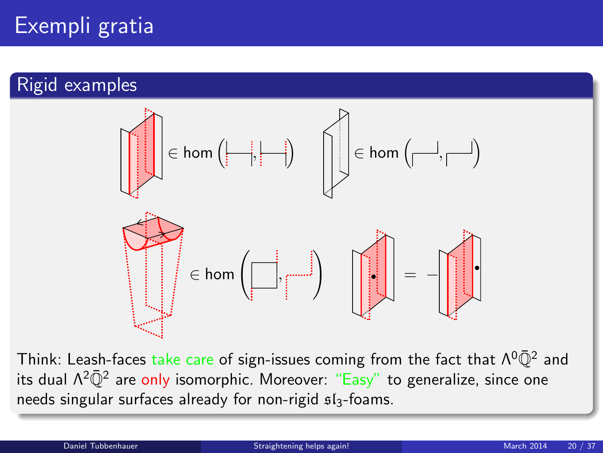# Exempli gratia

### Rigid examples



Think: Leash-faces take care of sign-issues coming from the fact that  $\Lambda^0\bar{\mathbb{Q}}^2$  and its dual Λ<sup>2</sup>@<sup>2</sup> are <mark>only</mark> isomorphic. Moreover: "Easy" to generalize, since one needs singular surfaces already for non-rigid  $sI_3$ -foams.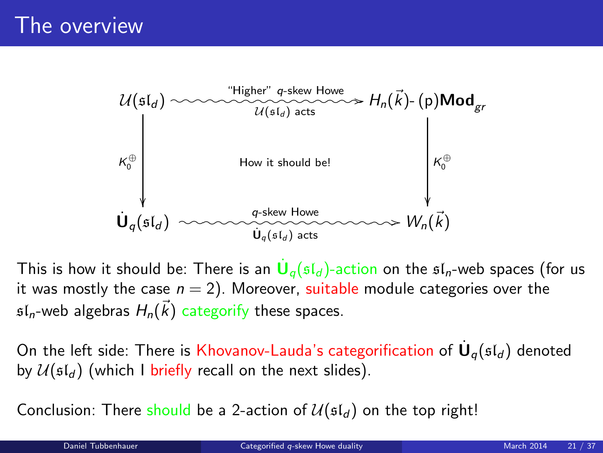

This is how it should be: There is an  $\dot{\textbf U}_q(\mathfrak{sl}_d)$ -action on the  $\mathfrak{sl}_n$ -web spaces (for us it was mostly the case  $n = 2$ ). Moreover, suitable module categories over the  $\mathfrak{sl}_n$ -web algebras  $H_n(\vec{k})$  categorify these spaces.

On the left side: There is Khovanov-Lauda's categorification of  $\dot{\mathsf{U}}_q(\mathfrak{sl}_d)$  denoted by  $\mathcal{U}(\mathfrak{sl}_d)$  (which I briefly recall on the next slides).

<span id="page-20-0"></span>Conclusion: There should be a 2-action of  $\mathcal{U}(\mathfrak{sl}_d)$  on the top right!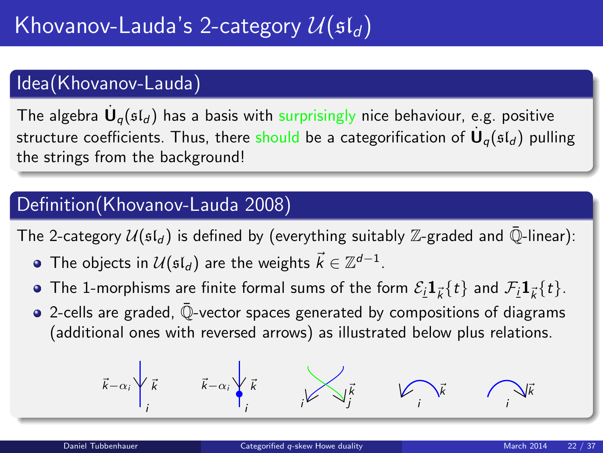### Idea(Khovanov-Lauda)

The algebra  $\dot{\mathsf{U}}_q(\mathfrak{sl}_d)$  has a basis with surprisingly nice behaviour, e.g. positive structure coefficients. Thus, there should be a categorification of  $\dot{\mathsf{U}}_q(\mathfrak{sl}_d)$  pulling the strings from the background!

### Definition(Khovanov-Lauda 2008)

The 2-category  $U(\mathfrak{sl}_d)$  is defined by (everything suitably Z-graded and  $\overline{\mathbb{Q}}$ -linear):

- The objects in  $\mathcal{U}(\mathfrak{sl}_d)$  are the weights  $\vec{k} \in \mathbb{Z}^{d-1}.$
- The 1-morphisms are finite formal sums of the form  $\mathcal{E}_{\bm i} \bm 1_{\vec k} \{ t \}$  and  $\mathcal{F}_{\bm i} \bm 1_{\vec k} \{ t \}.$
- 2-cells are graded, Q-vector spaces generated by compositions of diagrams (additional ones with reversed arrows) as illustrated below plus relations.

$$
\vec{k}-\alpha_i\sqrt{\vec{k}}\qquad \vec{k}-\alpha_i\sqrt{\vec{k}}\qquad \qquad \overrightarrow{k}
$$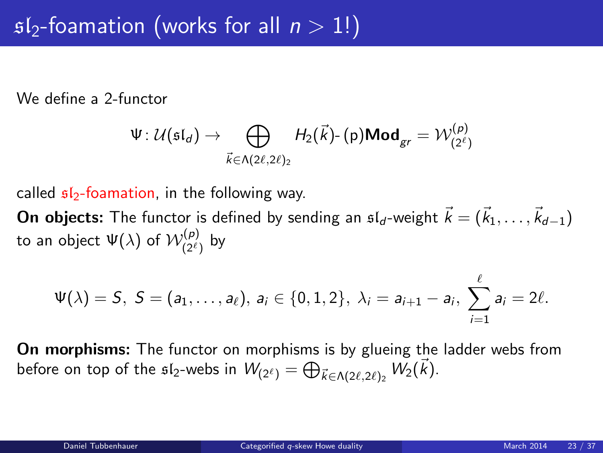We define a 2-functor

$$
\Psi\colon \mathcal{U}(\mathfrak{sl}_d)\to \bigoplus_{\vec{k}\in \Lambda(2\ell,2\ell)_2}H_2(\vec{k})\text{- (p)}\textbf{Mod}_{gr}=\mathcal{W}^{(p)}_{(2^{\ell})}
$$

called  $s/2$ -foamation, in the following way.

**On objects:** The functor is defined by sending an  $\mathfrak{sl}_d$ -weight  $\vec{k} = (\vec{k}_1, \ldots, \vec{k}_{d-1})$ to an object  $\Psi(\lambda)$  of  $\mathcal{W}^{(p)}_{(2^\ell)}$  by

$$
\Psi(\lambda)=S, S=(a_1,\ldots,a_\ell), a_i\in\{0,1,2\}, \lambda_i=a_{i+1}-a_i, \sum_{i=1}^\ell a_i=2\ell.
$$

On morphisms: The functor on morphisms is by glueing the ladder webs from before on top of the  $\mathfrak{sl}_2$ -webs in  $\mathcal{W}_{(2^\ell)}=\bigoplus_{\vec{k}\in \Lambda(2\ell,2\ell)_2} \mathcal{W}_2(\vec{k}).$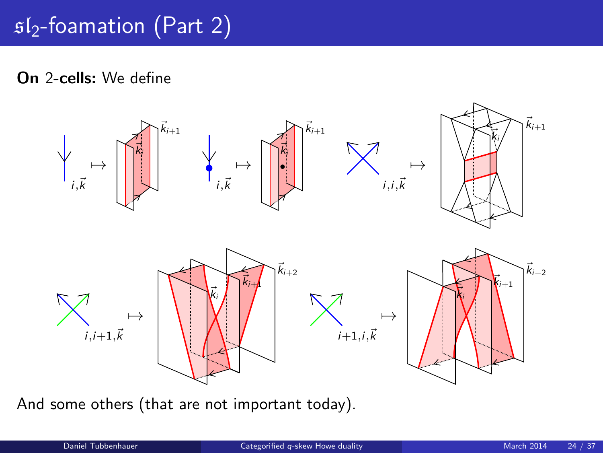# $s1<sub>2</sub>$ -foamation (Part 2)

On 2-cells: We define



And some others (that are not important today).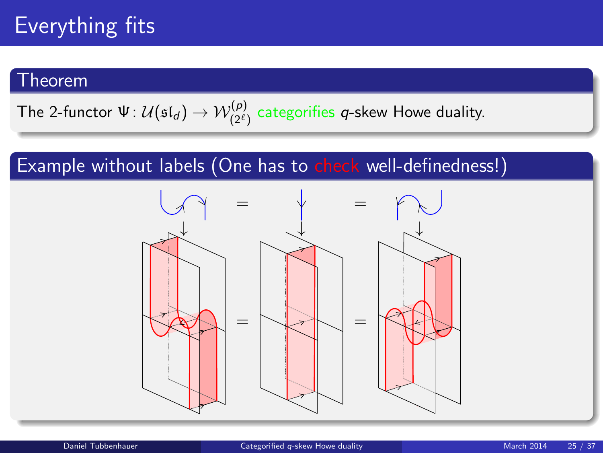### Theorem

The 2-functor 
$$
\Psi: \mathcal{U}(\mathfrak{sl}_d) \to \mathcal{W}^{(p)}_{(2^{\ell})}
$$
 categories *q*-skew Howe duality.

### Example without labels (One has to check well-definedness!)

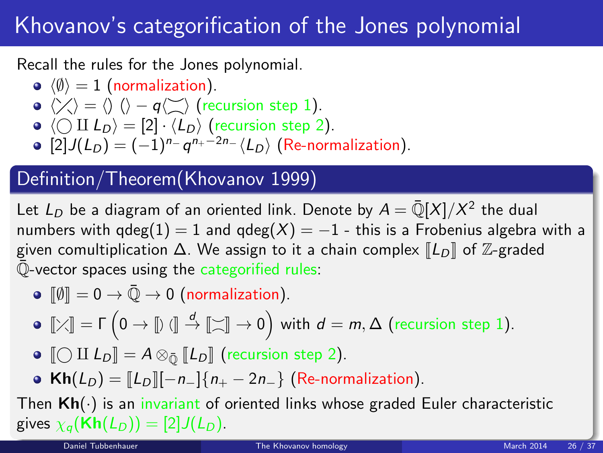## Khovanov's categorification of the Jones polynomial

Recall the rules for the Jones polynomial.

- $\langle \emptyset \rangle = 1$  (normalization).
- $\langle \rangle \langle \rangle = \langle \rangle$   $\langle \rangle q \langle \rangle \rangle$  (recursion step 1).
- $\bullet \langle \bigcirc \amalg L_D \rangle = [2] \cdot \langle L_D \rangle$  (recursion step 2).
- $[2]J(L_D) = (-1)^{n_{-}} q^{n_{+}-2n_{-}} \langle L_D \rangle$  (Re-normalization).

### Definition/Theorem(Khovanov 1999)

Let  $L_D$  be a diagram of an oriented link. Denote by  $A = \bar{\mathbb{Q}}[X]/X^2$  the dual numbers with  $qdeg(1) = 1$  and  $qdeg(X) = -1$  - this is a Frobenius algebra with a given comultiplication  $\Delta$ . We assign to it a chain complex  $\llbracket L_D \rrbracket$  of  $\mathbb{Z}$ -graded  $\overline{\mathbb{Q}}$ -vector spaces using the categorified rules:

 $\bullet$   $\lbrack \emptyset \rbrack = 0 \rightarrow \bar{\mathbb{Q}} \rightarrow 0$  (normalization).

$$
\bullet\ \llbracket\text{\footnotesize{\times}}\rrbracket=\Gamma\left(0\rightarrow\llbracket\text{\footnotesize{\textbackslash}}\rrbracket\stackrel{d}{\rightarrow}\llbracket\text{\footnotesize{\textbackslash}}\rrbracket\rightarrow 0\right)\text{ with }d=m,\Delta\text{ (recursion step 1)}.
$$

- $\bigcirc$   $\bigcirc$  II  $L_D$  =  $A \otimes_{\overline{O}} [L_D]$  (recursion step 2).
- <span id="page-25-0"></span>• Kh( $L_D$ ) =  $\|L_D\|[-n_-\]\{n_+ - 2n_-\}$  (Re-normalization).

Then  $Kh(\cdot)$  is an invariant of oriented links whose graded Euler characteristic gives  $\chi_q(\mathbf{Kh}(L_D)) = [2]J(L_D)$ .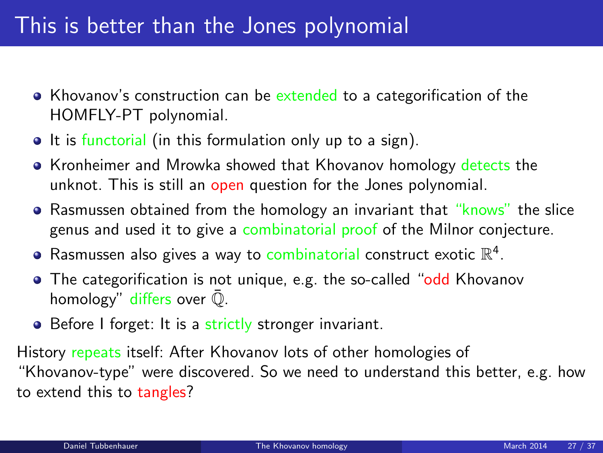## This is better than the Jones polynomial

- Khovanov's construction can be extended to a categorification of the HOMFLY-PT polynomial.
- It is functorial (in this formulation only up to a sign).
- Kronheimer and Mrowka showed that Khovanov homology detects the unknot. This is still an open question for the Jones polynomial.
- Rasmussen obtained from the homology an invariant that "knows" the slice genus and used it to give a combinatorial proof of the Milnor conjecture.
- Rasmussen also gives a way to combinatorial construct exotic  $\mathbb{R}^4$ .
- The categorification is not unique, e.g. the so-called "odd Khovanov" homology" differs over  $\overline{Q}$ .
- Before I forget: It is a strictly stronger invariant.

History repeats itself: After Khovanov lots of other homologies of "Khovanov-type" were discovered. So we need to understand this better, e.g. how to extend this to tangles?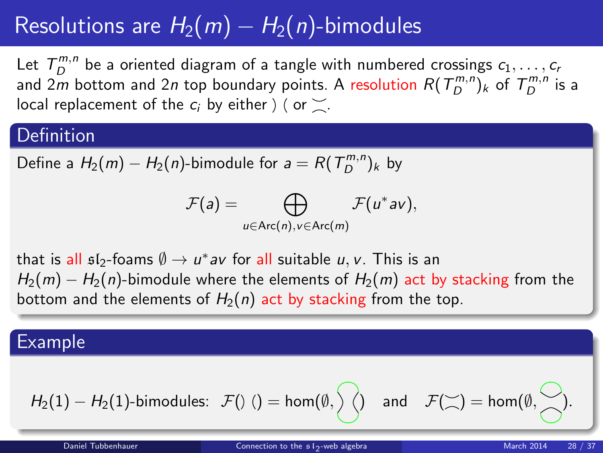# Resolutions are  $H_2(m) - H_2(n)$ -bimodules

Let  $T_D^{m,n}$  be a oriented diagram of a tangle with numbered crossings  $c_1, \ldots, c_n$ and 2m bottom and 2n top boundary points. A resolution  $R(T_D^{m,n})_k$  of  $T_D^{m,n}$  is a local replacement of the  $c_i$  by either  $\phi$  (or  $\geq$ .

#### Definition

Define a  $H_2(m) - H_2(n)$ -bimodule for  $a = R(T_D^{m,n})_k$  by

<span id="page-27-0"></span>
$$
\mathcal{F}(a) = \bigoplus_{u \in \text{Arc}(n), v \in \text{Arc}(m)} \mathcal{F}(u^*av),
$$

that is all  $\mathfrak{sl}_2$ -foams  $\emptyset \to u^*$ av for all suitable  $u,v.$  This is an  $H_2(m) - H_2(n)$ -bimodule where the elements of  $H_2(m)$  act by stacking from the bottom and the elements of  $H_2(n)$  act by stacking from the top.

#### Example

$$
H_2(1)-H_2(1)\text{-bimodules: }\mathcal{F}(\text{)}\text{ ()}=\text{hom}(\emptyset,\text{)} \text{ and }\text{ }\mathcal{F}(\text{)}=\text{hom}(\emptyset,\text{)}.
$$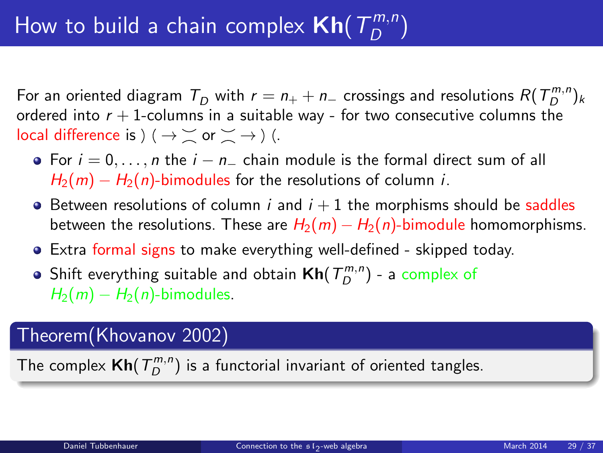For an oriented diagram  $T^{}_D$  with  $r = n_+ + n_-$  crossings and resolutions  $R(T^{m,n}_{D})_k$ ordered into  $r + 1$ -columns in a suitable way - for two consecutive columns the local difference is  $( \rightarrow \leq \alpha \leq \rightarrow)$  (.

- For  $i = 0, \ldots, n$  the  $i n_+$  chain module is the formal direct sum of all  $H_2(m) - H_2(n)$ -bimodules for the resolutions of column *i*.
- $\bullet$  Between resolutions of column *i* and  $i + 1$  the morphisms should be saddles between the resolutions. These are  $H_2(m) - H_2(n)$ -bimodule homomorphisms.
- Extra formal signs to make everything well-defined skipped today.
- Shift everything suitable and obtain  $\mathsf{Kh}(T^{m,n}_D)$  a complex of  $H_2(m) - H_2(n)$ -bimodules.

### Theorem(Khovanov 2002)

The complex  $\mathsf{Kh}(T^{m,n}_D)$  is a functorial invariant of oriented tangles.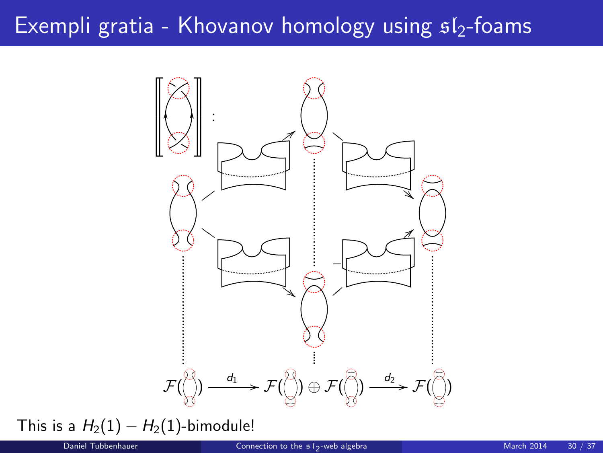## Exempli gratia - Khovanov homology using  $sI_2$ -foams



This is a  $H_2(1) - H_2(1)$ -bimodule!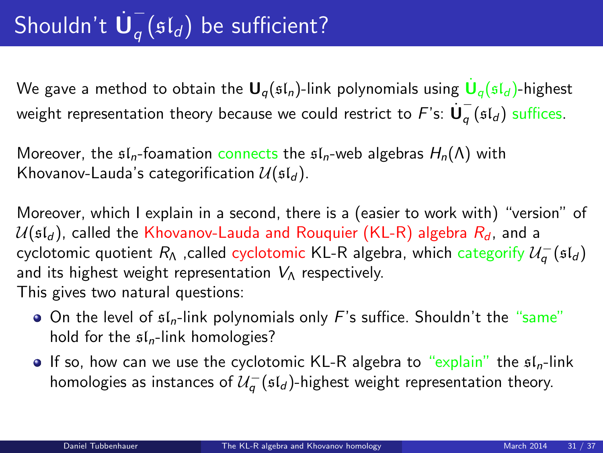#### Shouldn't  $\dot{\mathbf{U}}_q^ _{q}$  ( $\mathfrak{sl}_d$ ) be sufficient?

We gave a method to obtain the  ${\sf U}_q(\mathfrak{sl}_n)$ -link polynomials using  $\dot{{\sf U}}_q(\mathfrak{sl}_d)$ -highest weight representation theory because we could restrict to  $F$ 's:  $\dot{\bm{\mathsf{U}}}_q^ _q$  ( $\mathfrak{sl}_d$ ) suffices.

Moreover, the  $\mathfrak{sl}_n$ -foamation connects the  $\mathfrak{sl}_n$ -web algebras  $H_n(\Lambda)$  with Khovanov-Lauda's categorification  $\mathcal{U}(\mathfrak{sl}_d)$ .

Moreover, which I explain in a second, there is a (easier to work with) "version" of  $U(\mathfrak{sl}_d)$ , called the Khovanov-Lauda and Rouquier (KL-R) algebra  $R_d$ , and a cyclotomic quotient  $R_\Lambda$  ,called cyclotomic KL-R algebra, which categorify  $\mathcal{U}_q^-({\mathfrak{sl}}_d)$ and its highest weight representation  $V_A$  respectively. This gives two natural questions:

- $\bullet$  On the level of  $\mathfrak{sl}_n$ -link polynomials only F's suffice. Shouldn't the "same" hold for the  $\mathfrak{sl}_n$ -link homologies?
- <span id="page-30-0"></span>If so, how can we use the cyclotomic KL-R algebra to "explain" the  $\mathfrak{sl}_n$ -link homologies as instances of  $\mathcal{U}_q^-$  (sl<sub>d</sub>)-highest weight representation theory.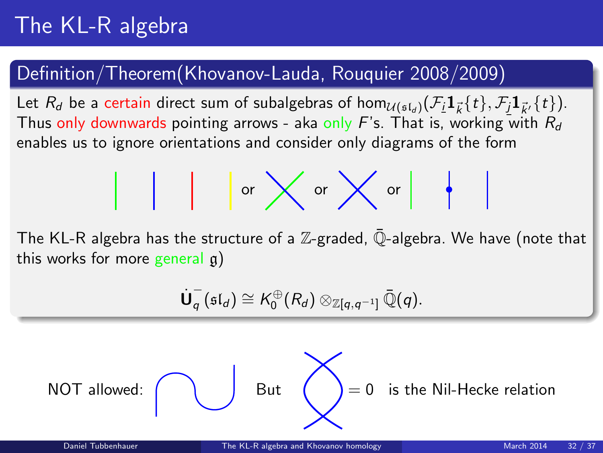# The KL-R algebra

### Definition/Theorem(Khovanov-Lauda, Rouquier 2008/2009)

Let  $R_d$  be a certain direct sum of subalgebras of hom $_{\mathcal{U}(\mathfrak{sl}_d)}(\mathcal F_i \mathbf 1_{\vec k}(t), \mathcal F_j \mathbf 1_{\vec k'}\{t\}).$ Thus only downwards pointing arrows - aka only F's. That is, working with  $R_d$ enables us to ignore orientations and consider only diagrams of the form

$$
\begin{array}{c|c|c|c|c|c|c|c|c} & & \text{or} & \text{or} & \text{or} & \text{or} \\ \hline & & & \text{or} & \text{or} & \text{or} & \text{or} \\ \end{array}
$$

The KL-R algebra has the structure of a  $\mathbb{Z}$ -graded,  $\overline{\mathbb{Q}}$ -algebra. We have (note that this works for more general  $\alpha$ )

$$
\dot{\mathbf{U}}_q^-(\mathfrak{sl}_d) \cong \mathcal{K}_0^{\oplus}(R_d) \otimes_{\mathbb{Z}[q,q^{-1}]}\bar{\mathbb{Q}}(q).
$$

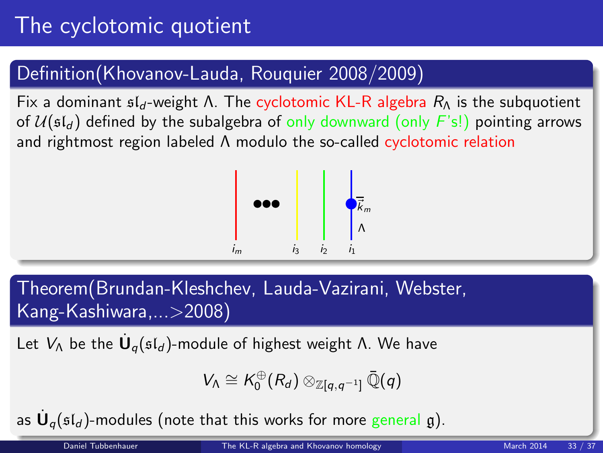# The cyclotomic quotient

### Definition(Khovanov-Lauda, Rouquier 2008/2009)

Fix a dominant  $\mathfrak{sl}_d$ -weight Λ. The cyclotomic KL-R algebra  $R_\Lambda$  is the subquotient of  $U(\mathfrak{sl}_d)$  defined by the subalgebra of only downward (only  $F(\mathfrak{sl})$ ) pointing arrows and rightmost region labeled Λ modulo the so-called cyclotomic relation



Theorem(Brundan-Kleshchev, Lauda-Vazirani, Webster, Kang-Kashiwara,...>2008)

Let  $V_\Lambda$  be the  $\dot{\textbf U}_q(\mathfrak{sl}_d)$ -module of highest weight Λ. We have

$$
V_\Lambda\cong \mathcal{K}_0^\oplus(\mathit{R}_d)\otimes_{\mathbb{Z}[q,q^{-1}]}\bar{\mathbb{Q}}(q)
$$

as  $\dot{\mathsf{U}}_q(\mathfrak{sl}_d)$ -modules (note that this works for more general  $\mathfrak{g}$ ).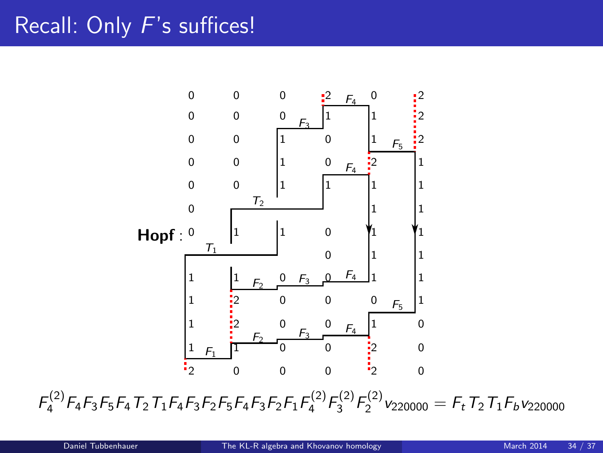## Recall: Only F's suffices!



 $F_4^{(2)}F_4F_3F_5F_4T_2T_1F_4F_3F_2F_5F_4F_3F_2F_1F_4^{(2)}F_3^{(2)}F_2^{(2)}\nu_{220000} = F_tT_2T_1F_b\nu_{220000}$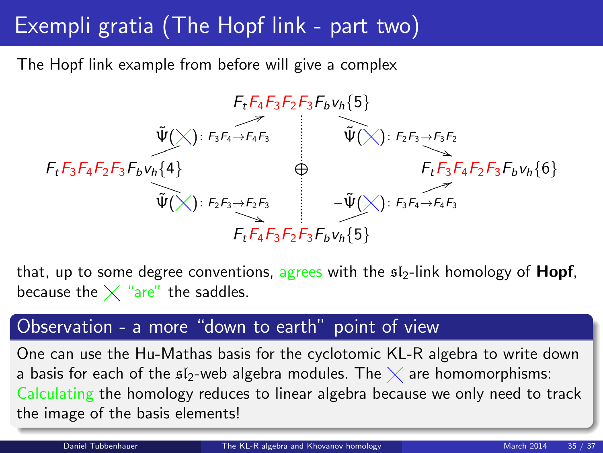# Exempli gratia (The Hopf link - part two)

The Hopf link example from before will give a complex



that, up to some degree conventions, agrees with the  $s/2$ -link homology of **Hopf**, because the  $\times$  "are" the saddles.

#### Observation - a more "down to earth" point of view

One can use the Hu-Mathas basis for the cyclotomic KL-R algebra to write down a basis for each of the  $\mathfrak{sl}_2$ -web algebra modules. The  $\times$  are homomorphisms: Calculating the homology reduces to linear algebra because we only need to track the image of the basis elements!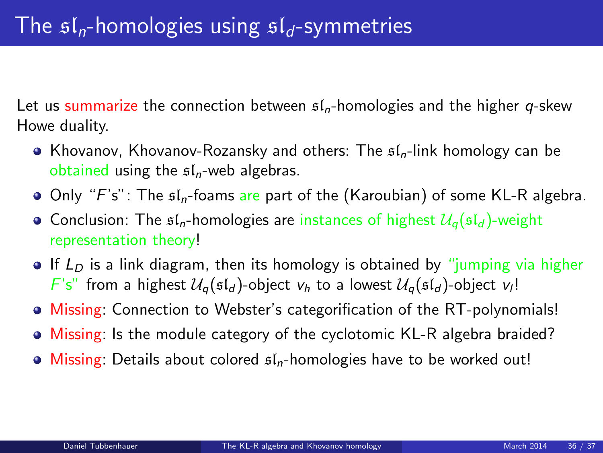Let us summarize the connection between  $f_n$ -homologies and the higher q-skew Howe duality.

- Khovanov, Khovanov-Rozansky and others: The  $\mathfrak{sl}_n$ -link homology can be obtained using the  $sI_n$ -web algebras.
- $\bullet$  Only "F's": The  $\mathfrak{sl}_n$ -foams are part of the (Karoubian) of some KL-R algebra.
- Conclusion: The  $\mathfrak{sl}_n$ -homologies are instances of highest  $\mathcal{U}_n(\mathfrak{sl}_d)$ -weight representation theory!
- If  $L<sub>D</sub>$  is a link diagram, then its homology is obtained by "jumping via higher  $F's''$  from a highest  $\mathcal{U}_q(\mathfrak{sl}_d)$ -object  $v_h$  to a lowest  $\mathcal{U}_q(\mathfrak{sl}_d)$ -object  $v_l!$
- Missing: Connection to Webster's categorification of the RT-polynomials!
- Missing: Is the module category of the cyclotomic KL-R algebra braided?
- $\bullet$  Missing: Details about colored  $sI_n$ -homologies have to be worked out!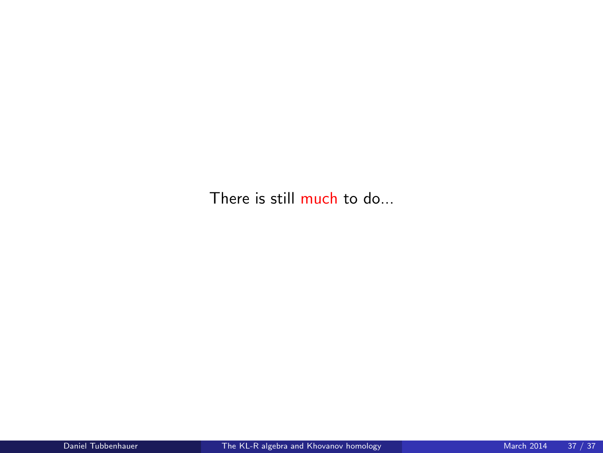There is still much to do...